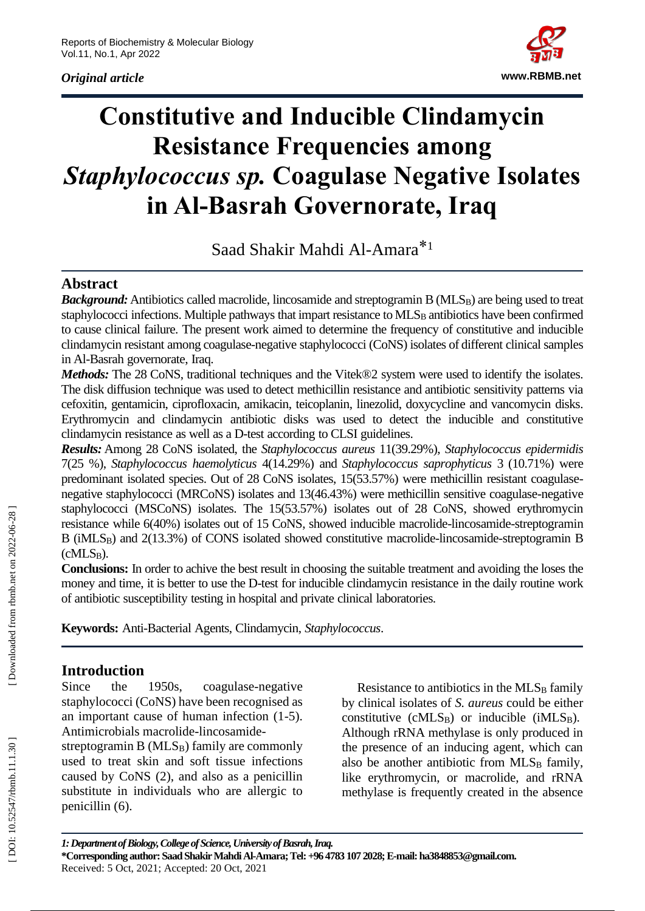# *Original article*



# **Constitutive and Inducible Clindamycin Resistance Frequencies among**  *Staphylococcus sp.* **Coagulase Negative Isolates in Al -Basrah Governorate, Iraq**

Saad Shakir Mahdi Al-Amara<sup>\*1</sup>

# **Abstract**

**Background:** Antibiotics called macrolide, lincosamide and streptogramin B (MLS<sub>B</sub>) are being used to treat staphylococci infections. Multiple pathways that impart resistance to MLS<sub>B</sub> antibiotics have been confirmed to cause clinical failure. The present work aimed to determine the frequency of constitutive and inducible clindamycin resistant among coagulase -negative staphylococci (CoNS) isolates of different clinical samples in Al -Basrah governorate, Iraq.

*Methods:* The 28 CoNS, traditional techniques and the Vitek®2 system were used to identify the isolates. The disk diffusion technique was used to detect methicillin resistance and antibiotic sensitivity patterns via cefoxitin, gentamicin, ciprofloxacin, amikacin, teicoplanin, linezolid, doxycycline and vancomycin disks. Erythromycin and clindamycin antibiotic disks was used to detect the inducible and constitutive clindamycin resistance as well as a D -test according to CLSI guidelines.

*Results:* Among 28 CoNS isolated, the *Staphylococcus aureus* 11(39.29%), *Staphylococcus epidermidis*  7(25 %), *Staphylococcus haemolyticus* 4(14.29%) and *Staphylococcus saprophyticus* 3 (10.71%) were predominant isolated species. Out of 28 CoNS isolates, 15(53.57%) were methicillin resistant coagulasenegative staphylococci (MRCoNS) isolates and 13(46.43%) were methicillin sensitive coagulase -negative staphylococci (MSCoNS) isolates. The 15(53.57%) isolates out of 28 CoNS, showed erythromycin resistance while 6(40%) isolates out of 15 CoNS, showed inducible macrolide-lincosamide-streptogramin B (iMLS<sub>B</sub>) and 2(13.3%) of CONS isolated showed constitutive macrolide-lincosamide-streptogramin B (cMLS<sub>B</sub>).

**Conclusions:** In order to achive the best result in choosing the suitable treatment and avoiding the loses the money and time, it is better to use the D-test for inducible clindamycin resistance in the daily routine work of antibiotic susceptibility testing in hospital and private clinical laboratories.

**Keywords :** Anti -Bacterial Agents, Clindamycin, *Staphylococcus* .

# **Introduction**

Since the 1950s, coagulase -negative staphylococci (CoNS) have been recognised as an important cause of human infection (1 -5). Antimicrobials macrolide -lincosamide -

streptogramin B (MLS <sup>B</sup>) family are commonly used to treat skin and soft tissue infections caused by CoNS (2), and also as a penicillin substitute in individuals who are allergic to penicillin (6).

Resistance to antibiotics in the MLS<sub>B</sub> family by clinical isolates of *S. aureus* could be either constitutive (cMLS<sub>B</sub>) or inducible (iMLS<sub>B</sub>). Although rRNA methylase is only produced in the presence of an inducing agent, which can also be another antibiotic from MLS<sub>B</sub> family, like erythromycin, or macrolide, and rRNA methylase is frequently created in the absence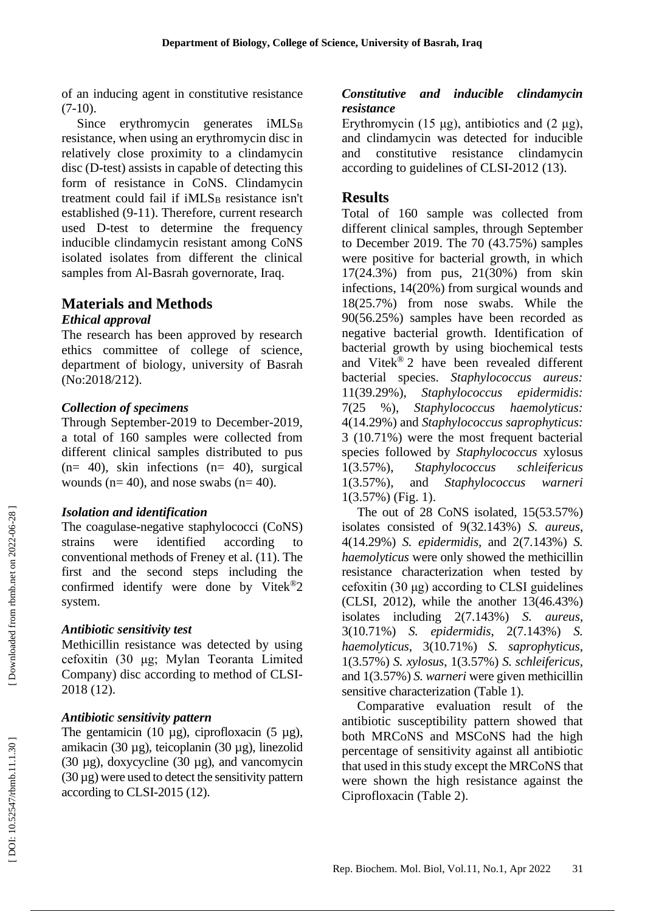of an inducing agent in constitutive resistance  $(7-10).$ 

Since erythromycin generates iMLS<sub>B</sub> resistance, when using an erythromycin disc in relatively close proximity to a clindamycin disc ( D -test) assists in capable of detecting this form of resistance in CoNS. Clindamycin treatment could fail if iMLS <sup>B</sup> resistance isn't established (9 -11). Therefore, current research used D -test to determine the frequency inducible clindamycin resistant among CoNS isolated isolates from different the clinical samples from Al -Basrah governorate, Iraq.

# **Materials and Methods**

#### *Ethical approval*

The research has been approved by research ethics committee of college of science, department of biology, university of Basrah (No:2018/212).

#### *Collection of specimens*

Through September -2019 to December -2019, a total of 160 samples were collected from different clinical samples distributed to pus  $(n= 40)$ , skin infections  $(n= 40)$ , surgical wounds ( $n=40$ ), and nose swabs ( $n=40$ ).

#### *Isolation and identification*

The coagulase -negative staphylococci (CoNS) strains were identified according to conventional methods of Freney et al. (11). The first and the second steps including the confirmed identify were done by Vitek ®2 system.

#### *Antibiotic sensitivity test*

Methicillin resistance was detected by using cefoxitin (30 μg; Mylan Teoranta Limited Company) disc according to method of CLSI - 2018 (12) .

#### *Antibiotic sensitivity pattern*

The gentamicin (10  $\mu$ g), ciprofloxacin (5  $\mu$ g), amikacin (30 µg), teicoplanin (30 µg), linezolid (30  $\mu$ g), doxycycline (30  $\mu$ g), and vancomycin  $(30 \,\mu g)$  were used to detect the sensitivity pattern according to CLSI -2015 (12).

#### *Constitutive and inducible clindamycin resistance*

Erythromycin (15 μg), antibiotics and (2 μg), and clindamycin was detected for inducible and constitutive resistance clindamycin according to guidelines of CLSI -2012 (13).

# **Results**

Total of 160 sample was collected from different clinical samples, through September to December 2019. The 70 (43.75%) samples were positive for bacterial growth, in which 17(24.3%) from pus, 21(30%) from skin infections, 14(20%) from surgical wounds and 18(25.7%) from nose swabs. While the 90(56.25%) samples have been recorded as negative bacterial growth. Identification of bacterial growth by using biochemical tests and Vitek ® 2 have been revealed different bacterial species. *Staphylococcus aureus:*  11(39.29%), *Staphylococcus epidermidis:*  7(25 %), *Staphylococcus haemolyticus:*  4(14.29%) and *Staphylococcus saprophyticus:* 3 (10.71%) were the most frequent bacterial species followed by *Staphylococcus* xylosus 1(3.57%), *Staphylococcus schleifericus* 1(3.57%), and *Staphylococcus warneri* 1(3.57%) (Fig. 1).

The out of 28 CoNS isolated, 15(53.57%) isolates consisted of 9(32.143%) *S. aureus*, 4(14.29%) *S. epidermidis,* and 2(7.143%) *S. haemolyticus* were only showed the methicillin resistance characterization when tested by cefoxitin (30 μg) according to CLSI guidelines (CLSI, 2012), while the another 13(46.43%) isolates including 2(7.143%) *S. aureus*, 3(10.71%) *S. epidermidis*, 2(7.143%) *S. haemolyticus*, 3(10.71%) *S. saprophyticus*, 1(3.57%) *S. xylosus*, 1(3.57%) *S. schleifericus,* and 1(3.57%) *S. warneri* were given methicillin sensitive characterization (Table 1).

Comparative evaluation result of the antibiotic susceptibility pattern showed that both MRCoNS and MSCoNS had the high percentage of sensitivity against all antibiotic that used in this study except the MRCoNS that were shown the high resistance against the Ciprofloxacin (Table 2).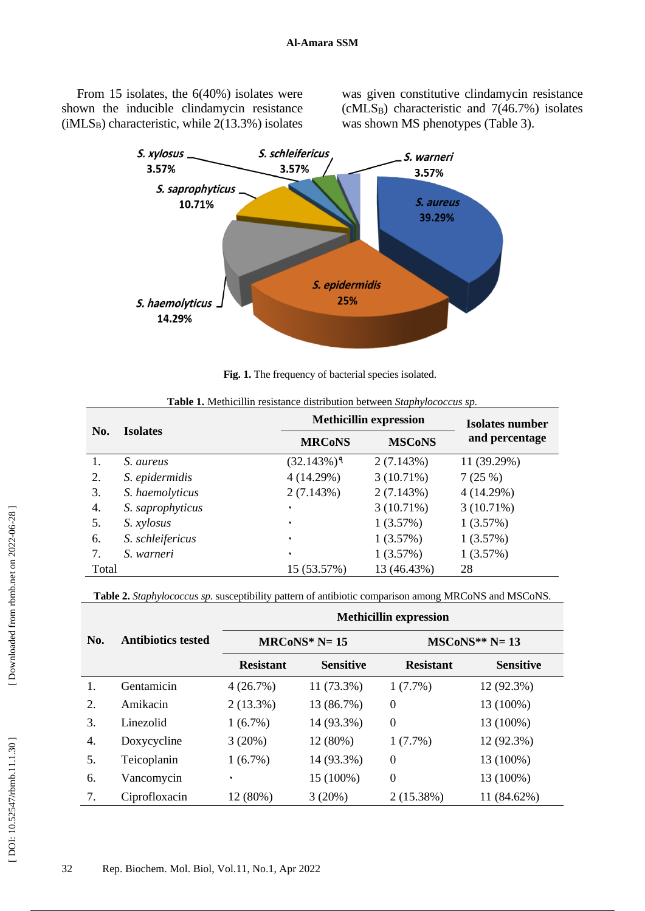From 15 isolates, the 6(40%) isolates were shown the inducible clindamycin resistance  $(iMLS_B)$  characteristic, while 2(13.3%) isolates was given constitutive clindamycin resistance (cMLS <sup>B</sup>) characteristic and 7(46.7%) isolates was shown MS phenotypes (Table 3).



Fig. 1. The frequency of bacterial species isolated.

| No.   | <b>Isolates</b>  | <b>Methicillin expression</b> | Isolates number |                |
|-------|------------------|-------------------------------|-----------------|----------------|
|       |                  | <b>MRCoNS</b>                 | <b>MSCoNS</b>   | and percentage |
|       | S. aureus        | $(32.143%)$ <sup>9</sup>      | 2(7.143%)       | 11 (39.29%)    |
| 2.    | S. epidermidis   | 4(14.29%)                     | 3(10.71%)       | 7(25%)         |
| 3.    | S. haemolyticus  | 2(7.143%)                     | 2(7.143%)       | 4(14.29%)      |
| 4.    | S. saprophyticus | ٠                             | 3(10.71%)       | 3(10.71%)      |
| 5.    | S. xylosus       | ٠                             | 1(3.57%)        | 1(3.57%)       |
| 6.    | S. schleifericus | ٠                             | 1(3.57%)        | 1(3.57%)       |
| 7.    | S. warneri       | ٠                             | 1(3.57%)        | 1(3.57%)       |
| Total |                  | 15 (53.57%)                   | 13 (46.43%)     | 28             |

| Table 1. Methicillin resistance distribution between Staphylococcus sp. |
|-------------------------------------------------------------------------|
|-------------------------------------------------------------------------|

**Table 2.** *Staphylococcus sp.* susceptibility pattern of antibiotic comparison among MRCoNS and MSCoNS.

|     |                           | <b>Methicillin expression</b> |                  |                  |                  |  |
|-----|---------------------------|-------------------------------|------------------|------------------|------------------|--|
| No. | <b>Antibiotics tested</b> | $MRCoNS^*$ N= 15              |                  | $MSCoNS**N=13$   |                  |  |
|     |                           | <b>Resistant</b>              | <b>Sensitive</b> | <b>Resistant</b> | <b>Sensitive</b> |  |
| 1.  | Gentamicin                | 4(26.7%)                      | 11 (73.3%)       | $1(7.7\%)$       | 12 (92.3%)       |  |
| 2.  | Amikacin                  | $2(13.3\%)$                   | 13 (86.7%)       | $\Omega$         | 13 (100%)        |  |
| 3.  | Linezolid                 | 1(6.7%)                       | 14 (93.3%)       | $\boldsymbol{0}$ | 13 (100%)        |  |
| 4.  | Doxycycline               | 3(20%)                        | 12 (80%)         | $1(7.7\%)$       | 12 (92.3%)       |  |
| 5.  | Teicoplanin               | $1(6.7\%)$                    | 14 (93.3%)       | $\boldsymbol{0}$ | 13 (100%)        |  |
| 6.  | Vancomycin                | ٠                             | 15 (100%)        | $\boldsymbol{0}$ | 13 (100%)        |  |
| 7.  | Ciprofloxacin             | 12 (80%)                      | 3(20%)           | 2 (15.38%)       | 11 (84.62%)      |  |

[Downloaded from rbmb.net on 2022-06-28]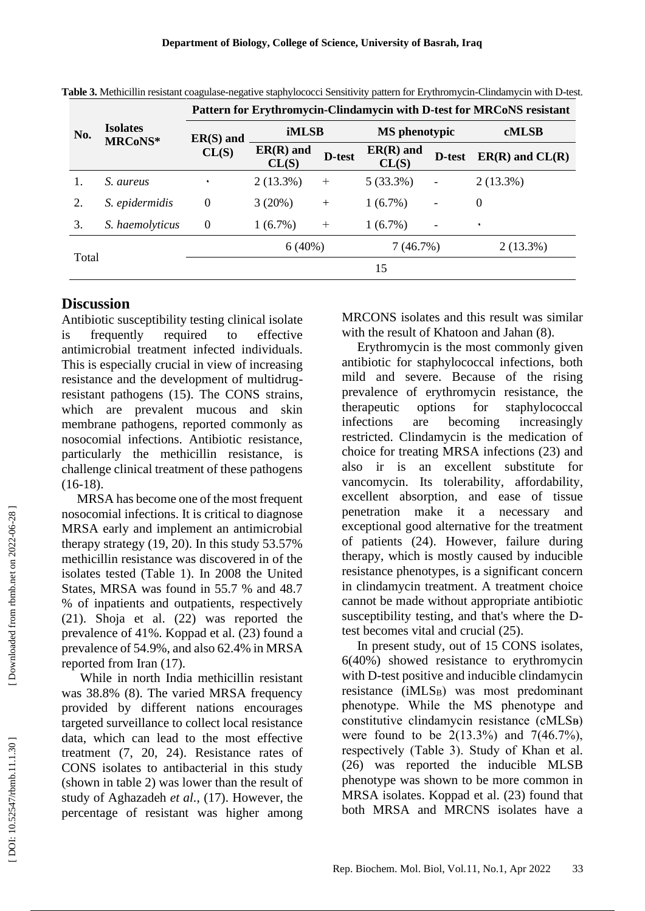|       | <b>Isolates</b><br>MRCoNS* | Pattern for Erythromycin-Clindamycin with D-test for MRCoNS resistant |                      |        |                      |                          |                     |
|-------|----------------------------|-----------------------------------------------------------------------|----------------------|--------|----------------------|--------------------------|---------------------|
| No.   |                            | $ER(S)$ and<br>CL(S)                                                  | <b>iMLSB</b>         |        | <b>MS</b> phenotypic |                          | <b>cMLSB</b>        |
|       |                            |                                                                       | $ER(R)$ and<br>CL(S) | D-test | $ER(R)$ and<br>CL(S) | D-test                   | $ER(R)$ and $CL(R)$ |
|       | S. aureus                  | ٠                                                                     | $2(13.3\%)$          | $^{+}$ | $5(33.3\%)$          | $\overline{\phantom{a}}$ | $2(13.3\%)$         |
| 2.    | S. epidermidis             | $\theta$                                                              | 3(20%)               | $+$    | $1(6.7\%)$           | $\qquad \qquad -$        | $\boldsymbol{0}$    |
| 3.    | S. haemolyticus            | $\overline{0}$                                                        | $1(6.7\%)$           | $^{+}$ | $1(6.7\%)$           | $\overline{\phantom{0}}$ | ٠                   |
|       |                            |                                                                       | 6(40%)               |        | 7(46.7%)             |                          | $2(13.3\%)$         |
| Total |                            |                                                                       | 15                   |        |                      |                          |                     |

Table 3. Methicillin resistant coagulase-negative staphylococci Sensitivity pattern for Erythromycin-Clindamycin with D-test.

# **Discussion**

Antibiotic susceptibility testing clinical isolate is frequently required to effective antimicrobial treatment infected individuals. This is especially crucial in view of increasing resistance and the development of multidrug resistant pathogens (15). The CONS strains, which are prevalent mucous and skin membrane pathogens, reported commonly as nosocomial infections. Antibiotic resistance, particularly the methicillin resistance, is challenge clinical treatment of these pathogens  $(16-18).$ 

MRSA has become one of the most frequent nosocomial infections. It is critical to diagnose MRSA early and implement an antimicrobial therapy strategy (19, 20). In this study 53.57% methicillin resistance was discovered in of the isolates tested (Table 1). In 2008 the United States, MRSA was found in 55.7 % and 48.7 % of inpatients and outpatients, respectively (21). Shoja et al. (22) was reported the prevalence of 41%. Koppad et al. (23) found a prevalence of 54.9%, and also 62.4% in MRSA reported from Iran (17) .

While in north India methicillin resistant was 38.8% (8). The varied MRSA frequency provided by different nations encourages targeted surveillance to collect local resistance data, which can lead to the most effective treatment (7, 20, 24). Resistance rates of CONS isolates to antibacterial in this study (shown in table 2) was lower than the result of study of Aghazadeh *et al.*, (17). However, the percentage of resistant was higher among

MRCONS isolates and this result was similar with the result of Khatoon and Jahan (8) .

Erythromycin is the most commonly given antibiotic for staphylococcal infections, both mild and severe. Because of the rising prevalence of erythromycin resistance, the therapeutic options for staphylococcal infections are becoming increasingly restricted. Clindamycin is the medication of choice for treating MRSA infections (23) and also ir is an excellent substitute for vancomycin. Its tolerability, affordability, excellent absorption, and ease of tissue penetration make it a necessary and exceptional good alternative for the treatment of patients (24). However, failure during therapy, which is mostly caused by inducible resistance phenotypes, is a significant concern in clindamycin treatment. A treatment choice cannot be made without appropriate antibiotic susceptibility testing, and that's where the D test becomes vital and crucial (25) .

In present study, out of 15 CONS isolates, 6(40%) showed resistance to erythromycin with D -test positive and inducible clindamycin resistance (iMLS <sup>B</sup>) was most predominant phenotype. While the MS phenotype and constitutive clindamycin resistance (cMLSB) were found to be  $2(13.3\%)$  and  $7(46.7\%)$ , respectively (Table 3). Study of Khan et al. (26) was reported the inducible MLSB phenotype was shown to be more common in MRSA isolates. Koppad et al. (23) found that both MRSA and MRCNS isolates have a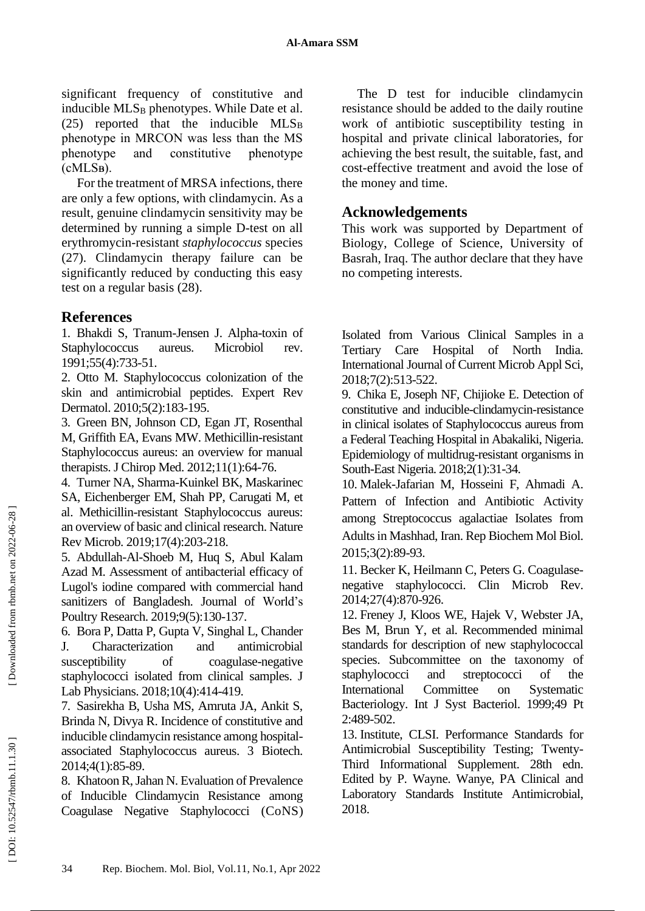significant frequency of constitutive and inducible MLS <sup>B</sup> phenotypes. While Date et al. (25) reported that the inducible  $MLS_B$ phenotype in MRCON was less than the MS phenotype and constitutive phenotype  $(cMLSB)$ .

For the treatment of MRSA infections, there are only a few options, with clindamycin. As a result, genuine clindamycin sensitivity may be determined by running a simple D -test on all erythromycin -resistant *staphylococcus* species (27). Clindamycin therapy failure can be significantly reduced by conducting this easy test on a regular basis (28).

# **References**

1. Bhakdi S, Tranum -Jensen J. Alpha -toxin of Staphylococcus aureus. Microbiol rev. 1991;55(4):733 -51.

2. Otto M. Staphylococcus colonization of the skin and antimicrobial peptides. Expert Rev Dermatol. 2010;5(2):183 - 195 .

3. Green BN, Johnson CD, Egan JT, Rosenthal M, Griffith EA, Evans MW. Methicillin -resistant Staphylococcus aureus: an overview for manual therapists. J Chirop Med. 2012;11(1):64 -76.

4. Turner NA, Sharma -Kuinkel BK, Maskarinec SA, Eichenberger EM, Shah PP, Carugati M, et al. Methicillin -resistant Staphylococcus aureus: an overview of basic and clinical research. Nature Rev Microb. 2019;17(4):203 - 218.

5. Abdullah -Al -Shoeb M, Huq S, Abul Kalam Azad M. Assessment of antibacterial efficacy of Lugol's iodine compared with commercial hand sanitizers of Bangladesh. Journal of World's Poultry Research . 2019;9(5):130 -137 .

6. Bora P, Datta P, Gupta V, Singhal L, Chander J. Characterization and antimicrobial susceptibility of coagulase-negative staphylococci isolated from clinical samples. J Lab Physicians. 2018;10(4):414 -419.

7. Sasirekha B, Usha MS, Amruta JA, Ankit S, Brinda N, Divya R. Incidence of constitutive and inducible clindamycin resistance among hospital associated Staphylococcus aureus. 3 Biotech. 2014;4(1):85 - 89.

8. Khatoon R, Jahan N. Evaluation of Prevalence of Inducible Clindamycin Resistance among Coagulase Negative Staphylococci (CoNS )

The D test for inducible clindamycin resistance should be added to the daily routine work of antibiotic susceptibility testing in hospital and private clinical laboratories, for achieving the best result, the suitable, fast, and cost -effective treatment and avoid the lose of the money and time.

# **Acknowledgements**

This work was supported by Department of Biology, College of Science, University of Basrah, Iraq. The author declare that they have no competing interests.

Isolated from Various Clinical Samples in a Tertiary Care Hospital of North India. International Journal of Current Microb Appl Sci, 2018;7(2):513 -522.

9. Chika E, Joseph NF, Chijioke E. Detection of constitutive and inducible -clindamycin -resistance in clinical isolates of Staphylococcus aureus from a Federal Teaching Hospital in Abakaliki, Nigeria. Epidemiology of multidrug-resistant organisms in South -East Nigeria. 2018;2(1):31 -34.

10. Malek -Jafarian M, Hosseini F, Ahmadi A. Pattern of Infection and Antibiotic Activity among Streptococcus agalactiae Isolates from Adults in Mashhad, Iran. Rep Biochem Mol Biol. 2015;3(2):89 -93.

11. Becker K, Heilmann C, Peters G. Coagulase negative staphylococci. Clin Microb Rev. 2014;27(4):870 -926.

12. Freney J, Kloos WE, Hajek V, Webster JA, Bes M, Brun Y, et al. Recommended minimal standards for description of new staphylococcal species. Subcommittee on the taxonomy of staphylococci and streptococci of the International Committee on Systematic Bacteriology. Int J Syst Bacteriol. 1999;49 Pt 2:489-502.

13. Institute, CLSI. Performance Standards for Antimicrobial Susceptibility Testing; Twenty - Third Informational Supplement. 28th edn. Edited by P. Wayne. Wanye, PA Clinical and Laboratory Standards Institute Antimicrobial, 2018.